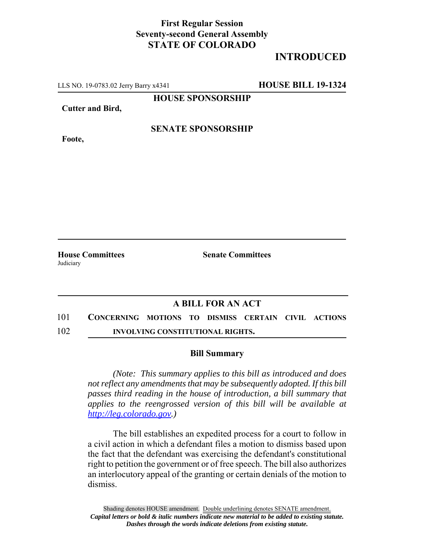## **First Regular Session Seventy-second General Assembly STATE OF COLORADO**

# **INTRODUCED**

LLS NO. 19-0783.02 Jerry Barry x4341 **HOUSE BILL 19-1324**

**HOUSE SPONSORSHIP**

**Cutter and Bird,**

**Foote,**

### **SENATE SPONSORSHIP**

**Judiciary** 

**House Committees Senate Committees** 

## **A BILL FOR AN ACT**

- 101 **CONCERNING MOTIONS TO DISMISS CERTAIN CIVIL ACTIONS**
- 102 **INVOLVING CONSTITUTIONAL RIGHTS.**

#### **Bill Summary**

*(Note: This summary applies to this bill as introduced and does not reflect any amendments that may be subsequently adopted. If this bill passes third reading in the house of introduction, a bill summary that applies to the reengrossed version of this bill will be available at http://leg.colorado.gov.)*

The bill establishes an expedited process for a court to follow in a civil action in which a defendant files a motion to dismiss based upon the fact that the defendant was exercising the defendant's constitutional right to petition the government or of free speech. The bill also authorizes an interlocutory appeal of the granting or certain denials of the motion to dismiss.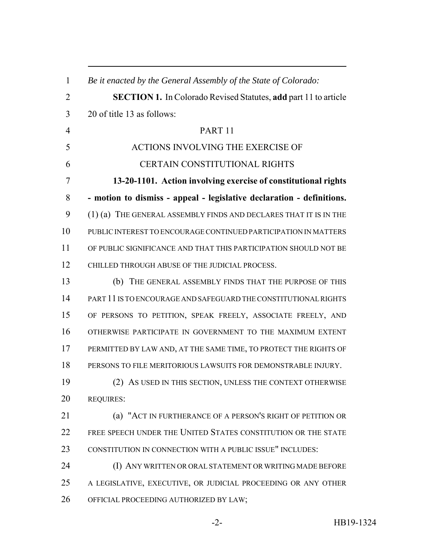*Be it enacted by the General Assembly of the State of Colorado:* **SECTION 1.** In Colorado Revised Statutes, **add** part 11 to article 20 of title 13 as follows: PART 11 ACTIONS INVOLVING THE EXERCISE OF CERTAIN CONSTITUTIONAL RIGHTS **13-20-1101. Action involving exercise of constitutional rights - motion to dismiss - appeal - legislative declaration - definitions.** (1) (a) THE GENERAL ASSEMBLY FINDS AND DECLARES THAT IT IS IN THE PUBLIC INTEREST TO ENCOURAGE CONTINUED PARTICIPATION IN MATTERS OF PUBLIC SIGNIFICANCE AND THAT THIS PARTICIPATION SHOULD NOT BE CHILLED THROUGH ABUSE OF THE JUDICIAL PROCESS. (b) THE GENERAL ASSEMBLY FINDS THAT THE PURPOSE OF THIS PART 11 IS TO ENCOURAGE AND SAFEGUARD THE CONSTITUTIONAL RIGHTS OF PERSONS TO PETITION, SPEAK FREELY, ASSOCIATE FREELY, AND OTHERWISE PARTICIPATE IN GOVERNMENT TO THE MAXIMUM EXTENT PERMITTED BY LAW AND, AT THE SAME TIME, TO PROTECT THE RIGHTS OF PERSONS TO FILE MERITORIOUS LAWSUITS FOR DEMONSTRABLE INJURY. (2) AS USED IN THIS SECTION, UNLESS THE CONTEXT OTHERWISE REQUIRES: (a) "ACT IN FURTHERANCE OF A PERSON'S RIGHT OF PETITION OR FREE SPEECH UNDER THE UNITED STATES CONSTITUTION OR THE STATE CONSTITUTION IN CONNECTION WITH A PUBLIC ISSUE" INCLUDES: (I) ANY WRITTEN OR ORAL STATEMENT OR WRITING MADE BEFORE A LEGISLATIVE, EXECUTIVE, OR JUDICIAL PROCEEDING OR ANY OTHER OFFICIAL PROCEEDING AUTHORIZED BY LAW;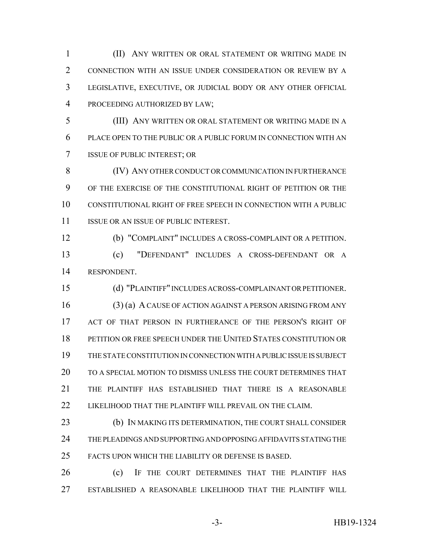(II) ANY WRITTEN OR ORAL STATEMENT OR WRITING MADE IN CONNECTION WITH AN ISSUE UNDER CONSIDERATION OR REVIEW BY A LEGISLATIVE, EXECUTIVE, OR JUDICIAL BODY OR ANY OTHER OFFICIAL PROCEEDING AUTHORIZED BY LAW;

 (III) ANY WRITTEN OR ORAL STATEMENT OR WRITING MADE IN A PLACE OPEN TO THE PUBLIC OR A PUBLIC FORUM IN CONNECTION WITH AN ISSUE OF PUBLIC INTEREST; OR

8 (IV) ANY OTHER CONDUCT OR COMMUNICATION IN FURTHERANCE OF THE EXERCISE OF THE CONSTITUTIONAL RIGHT OF PETITION OR THE CONSTITUTIONAL RIGHT OF FREE SPEECH IN CONNECTION WITH A PUBLIC 11 ISSUE OR AN ISSUE OF PUBLIC INTEREST.

 (b) "COMPLAINT" INCLUDES A CROSS-COMPLAINT OR A PETITION. (c) "DEFENDANT" INCLUDES A CROSS-DEFENDANT OR A RESPONDENT.

 (d) "PLAINTIFF" INCLUDES ACROSS-COMPLAINANT OR PETITIONER. (3) (a) A CAUSE OF ACTION AGAINST A PERSON ARISING FROM ANY 17 ACT OF THAT PERSON IN FURTHERANCE OF THE PERSON'S RIGHT OF PETITION OR FREE SPEECH UNDER THE UNITED STATES CONSTITUTION OR THE STATE CONSTITUTION IN CONNECTION WITH A PUBLIC ISSUE IS SUBJECT TO A SPECIAL MOTION TO DISMISS UNLESS THE COURT DETERMINES THAT THE PLAINTIFF HAS ESTABLISHED THAT THERE IS A REASONABLE 22 LIKELIHOOD THAT THE PLAINTIFF WILL PREVAIL ON THE CLAIM.

 (b) IN MAKING ITS DETERMINATION, THE COURT SHALL CONSIDER THE PLEADINGS AND SUPPORTING AND OPPOSING AFFIDAVITS STATING THE FACTS UPON WHICH THE LIABILITY OR DEFENSE IS BASED.

 (c) IF THE COURT DETERMINES THAT THE PLAINTIFF HAS ESTABLISHED A REASONABLE LIKELIHOOD THAT THE PLAINTIFF WILL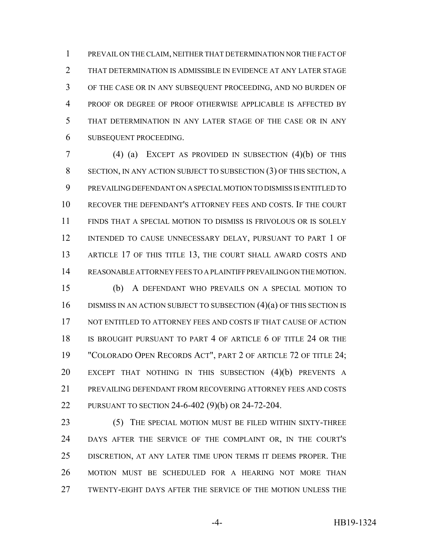PREVAIL ON THE CLAIM, NEITHER THAT DETERMINATION NOR THE FACT OF THAT DETERMINATION IS ADMISSIBLE IN EVIDENCE AT ANY LATER STAGE OF THE CASE OR IN ANY SUBSEQUENT PROCEEDING, AND NO BURDEN OF PROOF OR DEGREE OF PROOF OTHERWISE APPLICABLE IS AFFECTED BY THAT DETERMINATION IN ANY LATER STAGE OF THE CASE OR IN ANY SUBSEQUENT PROCEEDING.

 (4) (a) EXCEPT AS PROVIDED IN SUBSECTION (4)(b) OF THIS SECTION, IN ANY ACTION SUBJECT TO SUBSECTION (3) OF THIS SECTION, A PREVAILING DEFENDANT ON A SPECIAL MOTION TO DISMISS IS ENTITLED TO RECOVER THE DEFENDANT'S ATTORNEY FEES AND COSTS. IF THE COURT FINDS THAT A SPECIAL MOTION TO DISMISS IS FRIVOLOUS OR IS SOLELY INTENDED TO CAUSE UNNECESSARY DELAY, PURSUANT TO PART 1 OF 13 ARTICLE 17 OF THIS TITLE 13, THE COURT SHALL AWARD COSTS AND REASONABLE ATTORNEY FEES TO A PLAINTIFF PREVAILING ON THE MOTION.

 (b) A DEFENDANT WHO PREVAILS ON A SPECIAL MOTION TO 16 DISMISS IN AN ACTION SUBJECT TO SUBSECTION (4)(a) OF THIS SECTION IS 17 NOT ENTITLED TO ATTORNEY FEES AND COSTS IF THAT CAUSE OF ACTION IS BROUGHT PURSUANT TO PART 4 OF ARTICLE 6 OF TITLE 24 OR THE "COLORADO OPEN RECORDS ACT", PART 2 OF ARTICLE 72 OF TITLE 24; EXCEPT THAT NOTHING IN THIS SUBSECTION (4)(b) PREVENTS A PREVAILING DEFENDANT FROM RECOVERING ATTORNEY FEES AND COSTS PURSUANT TO SECTION 24-6-402 (9)(b) OR 24-72-204.

 (5) THE SPECIAL MOTION MUST BE FILED WITHIN SIXTY-THREE DAYS AFTER THE SERVICE OF THE COMPLAINT OR, IN THE COURT'S DISCRETION, AT ANY LATER TIME UPON TERMS IT DEEMS PROPER. THE MOTION MUST BE SCHEDULED FOR A HEARING NOT MORE THAN TWENTY-EIGHT DAYS AFTER THE SERVICE OF THE MOTION UNLESS THE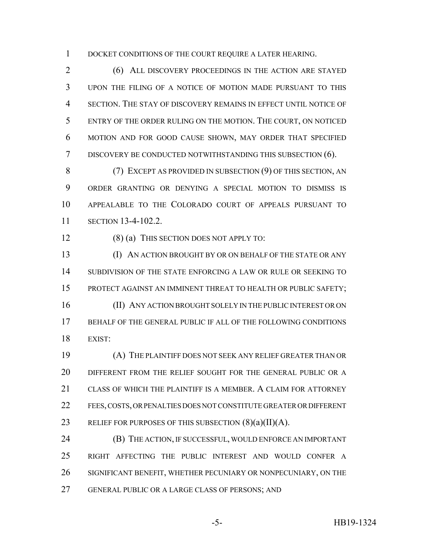1 DOCKET CONDITIONS OF THE COURT REQUIRE A LATER HEARING.

 (6) ALL DISCOVERY PROCEEDINGS IN THE ACTION ARE STAYED UPON THE FILING OF A NOTICE OF MOTION MADE PURSUANT TO THIS SECTION. THE STAY OF DISCOVERY REMAINS IN EFFECT UNTIL NOTICE OF ENTRY OF THE ORDER RULING ON THE MOTION. THE COURT, ON NOTICED MOTION AND FOR GOOD CAUSE SHOWN, MAY ORDER THAT SPECIFIED DISCOVERY BE CONDUCTED NOTWITHSTANDING THIS SUBSECTION (6).

 (7) EXCEPT AS PROVIDED IN SUBSECTION (9) OF THIS SECTION, AN ORDER GRANTING OR DENYING A SPECIAL MOTION TO DISMISS IS APPEALABLE TO THE COLORADO COURT OF APPEALS PURSUANT TO SECTION 13-4-102.2.

(8) (a) THIS SECTION DOES NOT APPLY TO:

 (I) AN ACTION BROUGHT BY OR ON BEHALF OF THE STATE OR ANY SUBDIVISION OF THE STATE ENFORCING A LAW OR RULE OR SEEKING TO PROTECT AGAINST AN IMMINENT THREAT TO HEALTH OR PUBLIC SAFETY; (II) ANY ACTION BROUGHT SOLELY IN THE PUBLIC INTEREST OR ON BEHALF OF THE GENERAL PUBLIC IF ALL OF THE FOLLOWING CONDITIONS EXIST:

 (A) THE PLAINTIFF DOES NOT SEEK ANY RELIEF GREATER THAN OR DIFFERENT FROM THE RELIEF SOUGHT FOR THE GENERAL PUBLIC OR A CLASS OF WHICH THE PLAINTIFF IS A MEMBER. A CLAIM FOR ATTORNEY FEES, COSTS, OR PENALTIES DOES NOT CONSTITUTE GREATER OR DIFFERENT 23 RELIEF FOR PURPOSES OF THIS SUBSECTION  $(8)(a)(II)(A)$ .

 (B) THE ACTION, IF SUCCESSFUL, WOULD ENFORCE AN IMPORTANT RIGHT AFFECTING THE PUBLIC INTEREST AND WOULD CONFER A SIGNIFICANT BENEFIT, WHETHER PECUNIARY OR NONPECUNIARY, ON THE GENERAL PUBLIC OR A LARGE CLASS OF PERSONS; AND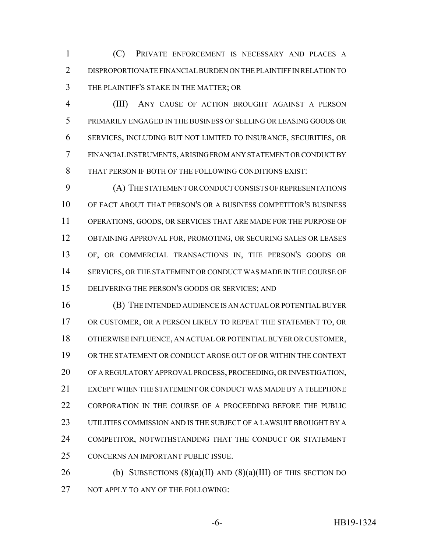(C) PRIVATE ENFORCEMENT IS NECESSARY AND PLACES A DISPROPORTIONATE FINANCIAL BURDEN ON THE PLAINTIFF IN RELATION TO THE PLAINTIFF'S STAKE IN THE MATTER; OR

 (III) ANY CAUSE OF ACTION BROUGHT AGAINST A PERSON PRIMARILY ENGAGED IN THE BUSINESS OF SELLING OR LEASING GOODS OR SERVICES, INCLUDING BUT NOT LIMITED TO INSURANCE, SECURITIES, OR FINANCIAL INSTRUMENTS, ARISING FROM ANY STATEMENT OR CONDUCT BY THAT PERSON IF BOTH OF THE FOLLOWING CONDITIONS EXIST:

 (A) THE STATEMENT OR CONDUCT CONSISTS OF REPRESENTATIONS OF FACT ABOUT THAT PERSON'S OR A BUSINESS COMPETITOR'S BUSINESS OPERATIONS, GOODS, OR SERVICES THAT ARE MADE FOR THE PURPOSE OF OBTAINING APPROVAL FOR, PROMOTING, OR SECURING SALES OR LEASES OF, OR COMMERCIAL TRANSACTIONS IN, THE PERSON'S GOODS OR SERVICES, OR THE STATEMENT OR CONDUCT WAS MADE IN THE COURSE OF DELIVERING THE PERSON'S GOODS OR SERVICES; AND

 (B) THE INTENDED AUDIENCE IS AN ACTUAL OR POTENTIAL BUYER OR CUSTOMER, OR A PERSON LIKELY TO REPEAT THE STATEMENT TO, OR OTHERWISE INFLUENCE, AN ACTUAL OR POTENTIAL BUYER OR CUSTOMER, OR THE STATEMENT OR CONDUCT AROSE OUT OF OR WITHIN THE CONTEXT OF A REGULATORY APPROVAL PROCESS, PROCEEDING, OR INVESTIGATION, EXCEPT WHEN THE STATEMENT OR CONDUCT WAS MADE BY A TELEPHONE 22 CORPORATION IN THE COURSE OF A PROCEEDING BEFORE THE PUBLIC UTILITIES COMMISSION AND IS THE SUBJECT OF A LAWSUIT BROUGHT BY A COMPETITOR, NOTWITHSTANDING THAT THE CONDUCT OR STATEMENT CONCERNS AN IMPORTANT PUBLIC ISSUE.

26 (b) SUBSECTIONS  $(8)(a)(II)$  AND  $(8)(a)(III)$  OF THIS SECTION DO 27 NOT APPLY TO ANY OF THE FOLLOWING: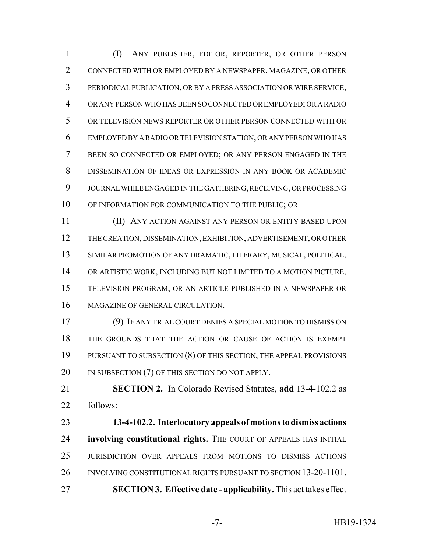(I) ANY PUBLISHER, EDITOR, REPORTER, OR OTHER PERSON CONNECTED WITH OR EMPLOYED BY A NEWSPAPER, MAGAZINE, OR OTHER PERIODICAL PUBLICATION, OR BY A PRESS ASSOCIATION OR WIRE SERVICE, OR ANY PERSON WHO HAS BEEN SO CONNECTED OR EMPLOYED; OR A RADIO OR TELEVISION NEWS REPORTER OR OTHER PERSON CONNECTED WITH OR EMPLOYED BY A RADIO OR TELEVISION STATION, OR ANY PERSON WHO HAS BEEN SO CONNECTED OR EMPLOYED; OR ANY PERSON ENGAGED IN THE DISSEMINATION OF IDEAS OR EXPRESSION IN ANY BOOK OR ACADEMIC JOURNAL WHILE ENGAGED IN THE GATHERING, RECEIVING, OR PROCESSING OF INFORMATION FOR COMMUNICATION TO THE PUBLIC; OR

 (II) ANY ACTION AGAINST ANY PERSON OR ENTITY BASED UPON THE CREATION, DISSEMINATION, EXHIBITION, ADVERTISEMENT, OR OTHER SIMILAR PROMOTION OF ANY DRAMATIC, LITERARY, MUSICAL, POLITICAL, OR ARTISTIC WORK, INCLUDING BUT NOT LIMITED TO A MOTION PICTURE, TELEVISION PROGRAM, OR AN ARTICLE PUBLISHED IN A NEWSPAPER OR MAGAZINE OF GENERAL CIRCULATION.

 (9) IF ANY TRIAL COURT DENIES A SPECIAL MOTION TO DISMISS ON THE GROUNDS THAT THE ACTION OR CAUSE OF ACTION IS EXEMPT PURSUANT TO SUBSECTION (8) OF THIS SECTION, THE APPEAL PROVISIONS 20 IN SUBSECTION (7) OF THIS SECTION DO NOT APPLY.

 **SECTION 2.** In Colorado Revised Statutes, **add** 13-4-102.2 as follows:

 **13-4-102.2. Interlocutory appeals of motions to dismiss actions involving constitutional rights.** THE COURT OF APPEALS HAS INITIAL JURISDICTION OVER APPEALS FROM MOTIONS TO DISMISS ACTIONS INVOLVING CONSTITUTIONAL RIGHTS PURSUANT TO SECTION 13-20-1101. **SECTION 3. Effective date - applicability.** This act takes effect